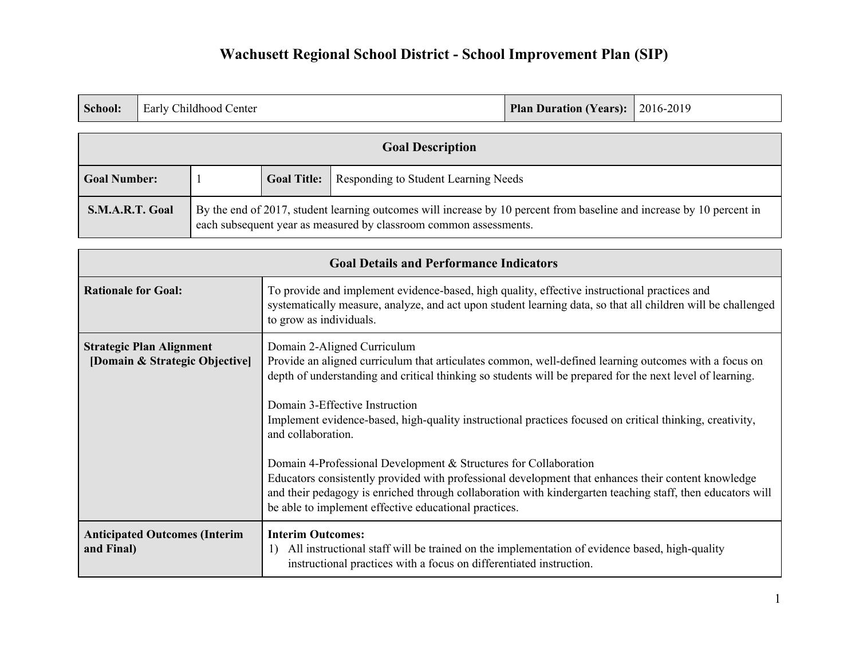|  | <b>School:</b> Early Childhood Center | <b>Plan Duration (Years):</b> 2016-2019 |  |
|--|---------------------------------------|-----------------------------------------|--|
|--|---------------------------------------|-----------------------------------------|--|

| <b>Goal Description</b> |                                                                                                                                                                                            |                    |                                      |
|-------------------------|--------------------------------------------------------------------------------------------------------------------------------------------------------------------------------------------|--------------------|--------------------------------------|
| <b>Goal Number:</b>     |                                                                                                                                                                                            | <b>Goal Title:</b> | Responding to Student Learning Needs |
| S.M.A.R.T. Goal         | By the end of 2017, student learning outcomes will increase by 10 percent from baseline and increase by 10 percent in<br>each subsequent year as measured by classroom common assessments. |                    |                                      |

| <b>Goal Details and Performance Indicators</b>                    |                                                                                                                                                                                                                                                                                                                                                                                                                                                                                                                                                                                                                                                                                                                                                                         |  |  |
|-------------------------------------------------------------------|-------------------------------------------------------------------------------------------------------------------------------------------------------------------------------------------------------------------------------------------------------------------------------------------------------------------------------------------------------------------------------------------------------------------------------------------------------------------------------------------------------------------------------------------------------------------------------------------------------------------------------------------------------------------------------------------------------------------------------------------------------------------------|--|--|
| <b>Rationale for Goal:</b>                                        | To provide and implement evidence-based, high quality, effective instructional practices and<br>systematically measure, analyze, and act upon student learning data, so that all children will be challenged<br>to grow as individuals.                                                                                                                                                                                                                                                                                                                                                                                                                                                                                                                                 |  |  |
| <b>Strategic Plan Alignment</b><br>[Domain & Strategic Objective] | Domain 2-Aligned Curriculum<br>Provide an aligned curriculum that articulates common, well-defined learning outcomes with a focus on<br>depth of understanding and critical thinking so students will be prepared for the next level of learning.<br>Domain 3-Effective Instruction<br>Implement evidence-based, high-quality instructional practices focused on critical thinking, creativity,<br>and collaboration.<br>Domain 4-Professional Development & Structures for Collaboration<br>Educators consistently provided with professional development that enhances their content knowledge<br>and their pedagogy is enriched through collaboration with kindergarten teaching staff, then educators will<br>be able to implement effective educational practices. |  |  |
| <b>Anticipated Outcomes (Interim</b><br>and Final)                | <b>Interim Outcomes:</b><br>All instructional staff will be trained on the implementation of evidence based, high-quality<br>instructional practices with a focus on differentiated instruction.                                                                                                                                                                                                                                                                                                                                                                                                                                                                                                                                                                        |  |  |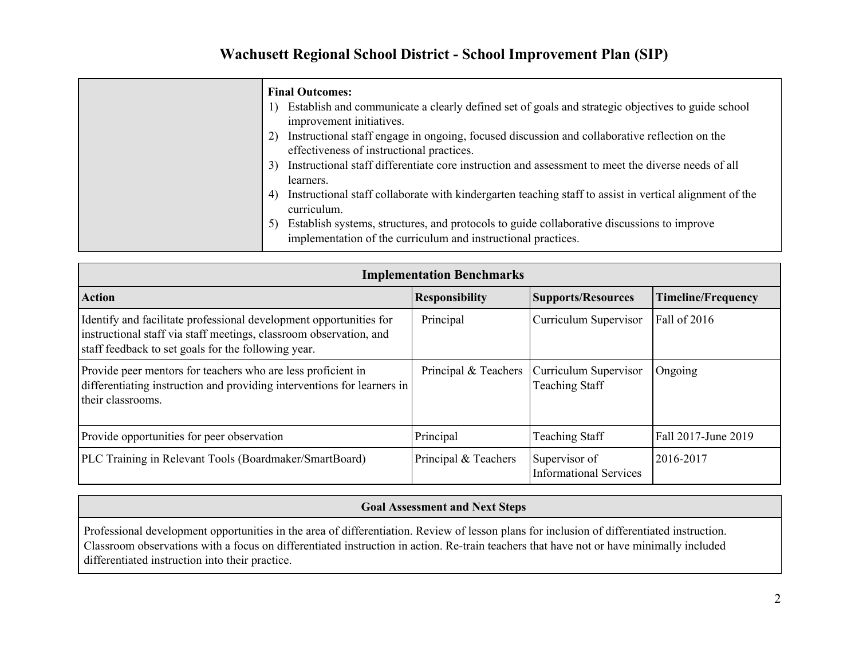| <b>Final Outcomes:</b>                                                                                                                                            |
|-------------------------------------------------------------------------------------------------------------------------------------------------------------------|
| Establish and communicate a clearly defined set of goals and strategic objectives to guide school<br>$\Gamma$<br>improvement initiatives.                         |
| Instructional staff engage in ongoing, focused discussion and collaborative reflection on the<br>2)<br>effectiveness of instructional practices.                  |
| Instructional staff differentiate core instruction and assessment to meet the diverse needs of all<br>3)<br>learners.                                             |
| Instructional staff collaborate with kindergarten teaching staff to assist in vertical alignment of the<br>4)<br>curriculum.                                      |
| Establish systems, structures, and protocols to guide collaborative discussions to improve<br>5)<br>implementation of the curriculum and instructional practices. |

| <b>Implementation Benchmarks</b>                                                                                                                                                                |                       |                                                       |                            |  |  |  |
|-------------------------------------------------------------------------------------------------------------------------------------------------------------------------------------------------|-----------------------|-------------------------------------------------------|----------------------------|--|--|--|
| <b>Action</b>                                                                                                                                                                                   | <b>Responsibility</b> | <b>Supports/Resources</b>                             | <b>Timeline/Frequency</b>  |  |  |  |
| Identify and facilitate professional development opportunities for<br>instructional staff via staff meetings, classroom observation, and<br>staff feedback to set goals for the following year. | Principal             | Curriculum Supervisor                                 | Fall of 2016               |  |  |  |
| Provide peer mentors for teachers who are less proficient in<br>differentiating instruction and providing interventions for learners in<br>their classrooms.                                    | Principal & Teachers  | <b>Curriculum Supervisor</b><br><b>Teaching Staff</b> | Ongoing                    |  |  |  |
| Provide opportunities for peer observation                                                                                                                                                      | Principal             | <b>Teaching Staff</b>                                 | <b>Fall 2017-June 2019</b> |  |  |  |
| PLC Training in Relevant Tools (Boardmaker/SmartBoard)                                                                                                                                          | Principal & Teachers  | Supervisor of<br><b>Informational Services</b>        | 2016-2017                  |  |  |  |

#### **Goal Assessment and Next Steps**

Professional development opportunities in the area of differentiation. Review of lesson plans for inclusion of differentiated instruction. Classroom observations with a focus on differentiated instruction in action. Re-train teachers that have not or have minimally included differentiated instruction into their practice.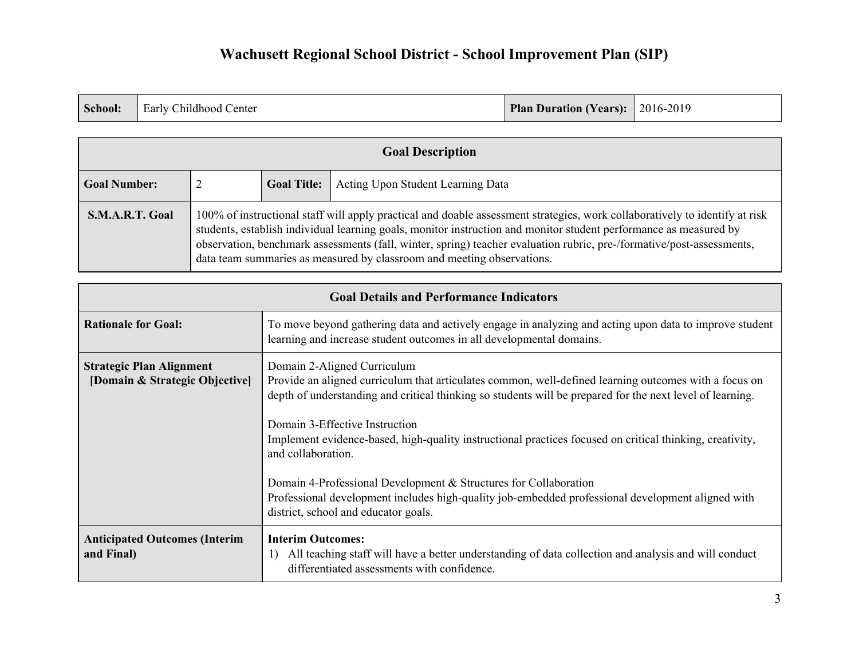|  | <b>School:</b> Early Childhood Center | Plan Duration (Years): 2016-2019 |  |
|--|---------------------------------------|----------------------------------|--|
|--|---------------------------------------|----------------------------------|--|

| <b>Goal Description</b> |                                                                                                                                                                                                                                                                                                                                                                                                                                                     |  |  |  |
|-------------------------|-----------------------------------------------------------------------------------------------------------------------------------------------------------------------------------------------------------------------------------------------------------------------------------------------------------------------------------------------------------------------------------------------------------------------------------------------------|--|--|--|
| <b>Goal Number:</b>     | Acting Upon Student Learning Data<br><b>Goal Title:</b>                                                                                                                                                                                                                                                                                                                                                                                             |  |  |  |
| S.M.A.R.T. Goal         | 100% of instructional staff will apply practical and doable assessment strategies, work collaboratively to identify at risk<br>students, establish individual learning goals, monitor instruction and monitor student performance as measured by<br>observation, benchmark assessments (fall, winter, spring) teacher evaluation rubric, pre-/formative/post-assessments,<br>data team summaries as measured by classroom and meeting observations. |  |  |  |

| <b>Goal Details and Performance Indicators</b>                    |                                                                                                                                                                                                                                                                                                                                                                                                                                                                                                                                                                                                                                        |  |  |
|-------------------------------------------------------------------|----------------------------------------------------------------------------------------------------------------------------------------------------------------------------------------------------------------------------------------------------------------------------------------------------------------------------------------------------------------------------------------------------------------------------------------------------------------------------------------------------------------------------------------------------------------------------------------------------------------------------------------|--|--|
| <b>Rationale for Goal:</b>                                        | To move beyond gathering data and actively engage in analyzing and acting upon data to improve student<br>learning and increase student outcomes in all developmental domains.                                                                                                                                                                                                                                                                                                                                                                                                                                                         |  |  |
| <b>Strategic Plan Alignment</b><br>[Domain & Strategic Objective] | Domain 2-Aligned Curriculum<br>Provide an aligned curriculum that articulates common, well-defined learning outcomes with a focus on<br>depth of understanding and critical thinking so students will be prepared for the next level of learning.<br>Domain 3-Effective Instruction<br>Implement evidence-based, high-quality instructional practices focused on critical thinking, creativity,<br>and collaboration.<br>Domain 4-Professional Development & Structures for Collaboration<br>Professional development includes high-quality job-embedded professional development aligned with<br>district, school and educator goals. |  |  |
| <b>Anticipated Outcomes (Interim</b><br>and Final)                | <b>Interim Outcomes:</b><br>All teaching staff will have a better understanding of data collection and analysis and will conduct<br>differentiated assessments with confidence.                                                                                                                                                                                                                                                                                                                                                                                                                                                        |  |  |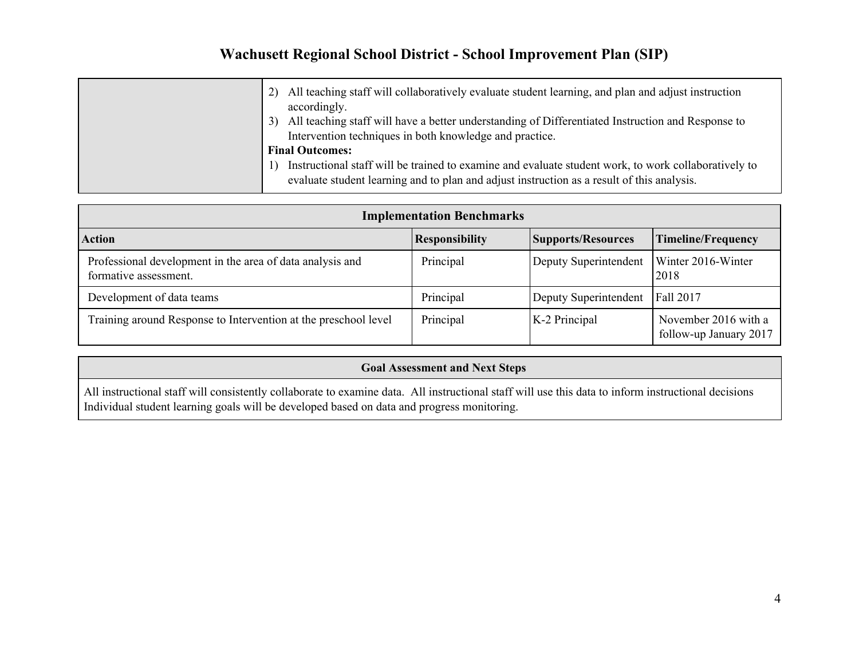| All teaching staff will collaboratively evaluate student learning, and plan and adjust instruction<br>2)<br>accordingly.                                                                           |
|----------------------------------------------------------------------------------------------------------------------------------------------------------------------------------------------------|
| All teaching staff will have a better understanding of Differentiated Instruction and Response to<br>3)<br>Intervention techniques in both knowledge and practice.                                 |
| <b>Final Outcomes:</b>                                                                                                                                                                             |
| Instructional staff will be trained to examine and evaluate student work, to work collaboratively to<br>evaluate student learning and to plan and adjust instruction as a result of this analysis. |

| <b>Implementation Benchmarks</b>                                                   |                       |                       |                                                |  |  |
|------------------------------------------------------------------------------------|-----------------------|-----------------------|------------------------------------------------|--|--|
| <b>Action</b>                                                                      | <b>Responsibility</b> | Supports/Resources    | <b>Timeline/Frequency</b>                      |  |  |
| Professional development in the area of data analysis and<br>formative assessment. | Principal             | Deputy Superintendent | Winter 2016-Winter<br>2018                     |  |  |
| Development of data teams                                                          | Principal             | Deputy Superintendent | Fall 2017                                      |  |  |
| Training around Response to Intervention at the preschool level                    | Principal             | K-2 Principal         | November 2016 with a<br>follow-up January 2017 |  |  |

### **Goal Assessment and Next Steps**

All instructional staff will consistently collaborate to examine data. All instructional staff will use this data to inform instructional decisions Individual student learning goals will be developed based on data and progress monitoring.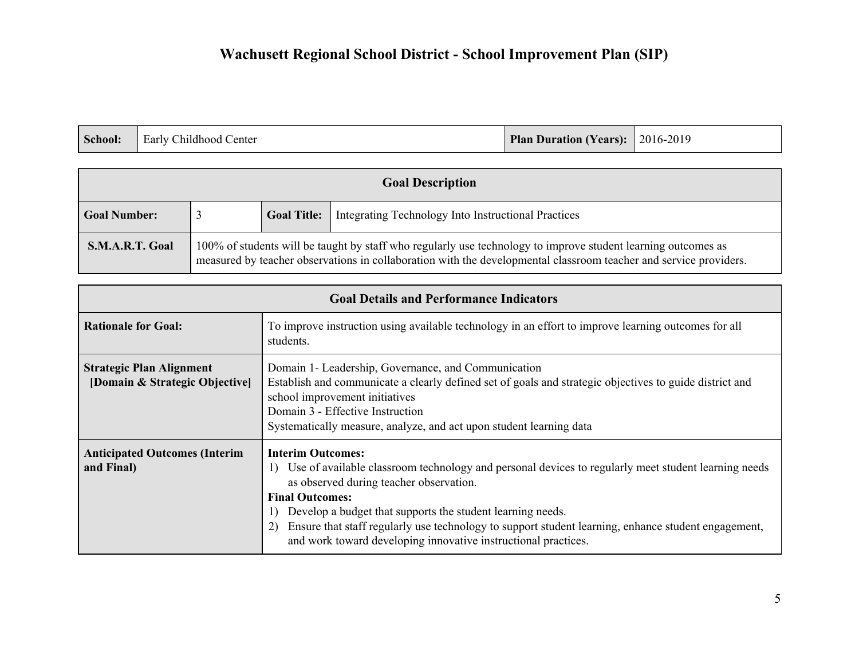| School: | <b>Early Childhood Center</b> | <b>Plan Duration (Years):</b> 2016-2019 |  |
|---------|-------------------------------|-----------------------------------------|--|
|---------|-------------------------------|-----------------------------------------|--|

| <b>Goal Description</b> |                                                                                                                                                                                                                                    |                    |                                                     |  |
|-------------------------|------------------------------------------------------------------------------------------------------------------------------------------------------------------------------------------------------------------------------------|--------------------|-----------------------------------------------------|--|
| <b>Goal Number:</b>     |                                                                                                                                                                                                                                    | <b>Goal Title:</b> | Integrating Technology Into Instructional Practices |  |
| S.M.A.R.T. Goal         | 100% of students will be taught by staff who regularly use technology to improve student learning outcomes as<br>measured by teacher observations in collaboration with the developmental classroom teacher and service providers. |                    |                                                     |  |

| <b>Goal Details and Performance Indicators</b>                    |                                                                                                                                                                                                                                                                                                                                                                                                                                             |  |  |
|-------------------------------------------------------------------|---------------------------------------------------------------------------------------------------------------------------------------------------------------------------------------------------------------------------------------------------------------------------------------------------------------------------------------------------------------------------------------------------------------------------------------------|--|--|
| <b>Rationale for Goal:</b>                                        | To improve instruction using available technology in an effort to improve learning outcomes for all<br>students.                                                                                                                                                                                                                                                                                                                            |  |  |
| <b>Strategic Plan Alignment</b><br>[Domain & Strategic Objective] | Domain 1- Leadership, Governance, and Communication<br>Establish and communicate a clearly defined set of goals and strategic objectives to guide district and<br>school improvement initiatives<br>Domain 3 - Effective Instruction<br>Systematically measure, analyze, and act upon student learning data                                                                                                                                 |  |  |
| <b>Anticipated Outcomes (Interim</b><br>and Final)                | <b>Interim Outcomes:</b><br>Use of available classroom technology and personal devices to regularly meet student learning needs<br>as observed during teacher observation.<br><b>Final Outcomes:</b><br>Develop a budget that supports the student learning needs.<br>Ensure that staff regularly use technology to support student learning, enhance student engagement,<br>and work toward developing innovative instructional practices. |  |  |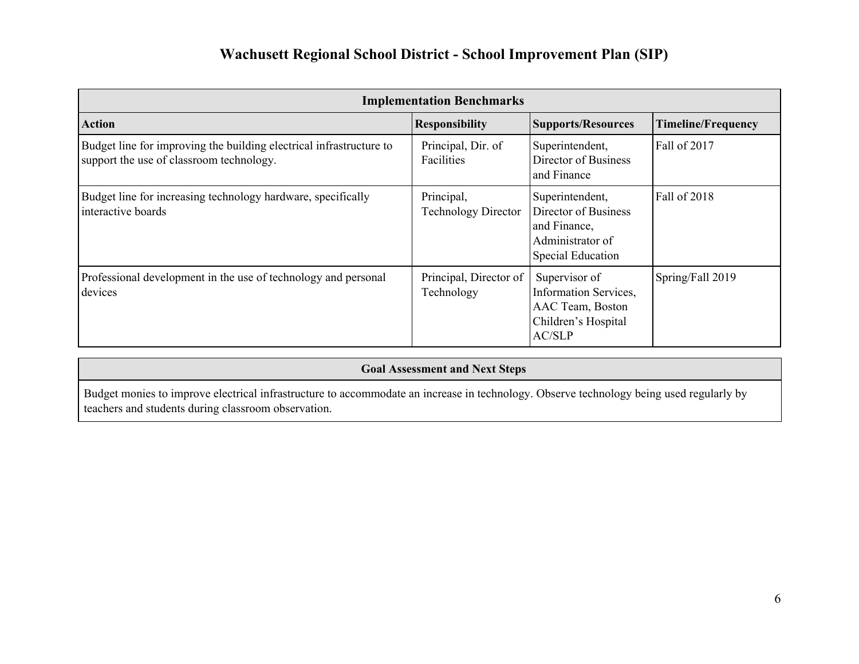| <b>Implementation Benchmarks</b>                                                                                |                                          |                                                                                                           |                           |  |
|-----------------------------------------------------------------------------------------------------------------|------------------------------------------|-----------------------------------------------------------------------------------------------------------|---------------------------|--|
| <b>Action</b>                                                                                                   | <b>Responsibility</b>                    | <b>Supports/Resources</b>                                                                                 | <b>Timeline/Frequency</b> |  |
| Budget line for improving the building electrical infrastructure to<br>support the use of classroom technology. | Principal, Dir. of<br>Facilities         | Superintendent,<br>Director of Business<br>and Finance                                                    | Fall of 2017              |  |
| Budget line for increasing technology hardware, specifically<br>interactive boards                              | Principal,<br><b>Technology Director</b> | Superintendent,<br>Director of Business<br>and Finance,<br>Administrator of<br><b>Special Education</b>   | Fall of 2018              |  |
| Professional development in the use of technology and personal<br>devices                                       | Principal, Director of<br>Technology     | Supervisor of<br><b>Information Services,</b><br>AAC Team, Boston<br>Children's Hospital<br><b>AC/SLP</b> | Spring/Fall 2019          |  |

Budget monies to improve electrical infrastructure to accommodate an increase in technology. Observe technology being used regularly by teachers and students during classroom observation.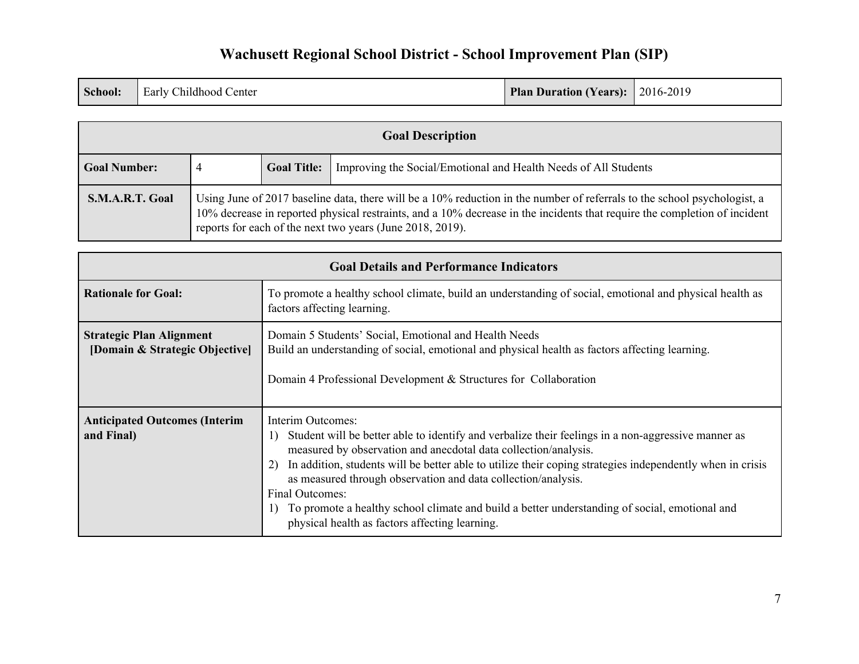|  | <b>School:</b> Early Childhood Center | <b>Plan Duration (Years): 2016-2019</b> |  |
|--|---------------------------------------|-----------------------------------------|--|
|--|---------------------------------------|-----------------------------------------|--|

| <b>Goal Description</b> |                                                                                                                                                                                                                                                                                                                    |                    |                                                                 |
|-------------------------|--------------------------------------------------------------------------------------------------------------------------------------------------------------------------------------------------------------------------------------------------------------------------------------------------------------------|--------------------|-----------------------------------------------------------------|
| <b>Goal Number:</b>     | 4                                                                                                                                                                                                                                                                                                                  | <b>Goal Title:</b> | Improving the Social/Emotional and Health Needs of All Students |
| S.M.A.R.T. Goal         | Using June of 2017 baseline data, there will be a 10% reduction in the number of referrals to the school psychologist, a<br>10% decrease in reported physical restraints, and a 10% decrease in the incidents that require the completion of incident<br>reports for each of the next two years (June 2018, 2019). |                    |                                                                 |

| <b>Goal Details and Performance Indicators</b>                    |                                                                                                                                                                                                                                                                                                                                                                                                                                                                                                                                                      |  |  |
|-------------------------------------------------------------------|------------------------------------------------------------------------------------------------------------------------------------------------------------------------------------------------------------------------------------------------------------------------------------------------------------------------------------------------------------------------------------------------------------------------------------------------------------------------------------------------------------------------------------------------------|--|--|
| <b>Rationale for Goal:</b>                                        | To promote a healthy school climate, build an understanding of social, emotional and physical health as<br>factors affecting learning.                                                                                                                                                                                                                                                                                                                                                                                                               |  |  |
| <b>Strategic Plan Alignment</b><br>[Domain & Strategic Objective] | Domain 5 Students' Social, Emotional and Health Needs<br>Build an understanding of social, emotional and physical health as factors affecting learning.<br>Domain 4 Professional Development $&$ Structures for Collaboration                                                                                                                                                                                                                                                                                                                        |  |  |
| <b>Anticipated Outcomes (Interim</b><br>and Final)                | Interim Outcomes:<br>Student will be better able to identify and verbalize their feelings in a non-aggressive manner as<br>1)<br>measured by observation and anecdotal data collection/analysis.<br>In addition, students will be better able to utilize their coping strategies independently when in crisis<br>as measured through observation and data collection/analysis.<br>Final Outcomes:<br>To promote a healthy school climate and build a better understanding of social, emotional and<br>physical health as factors affecting learning. |  |  |